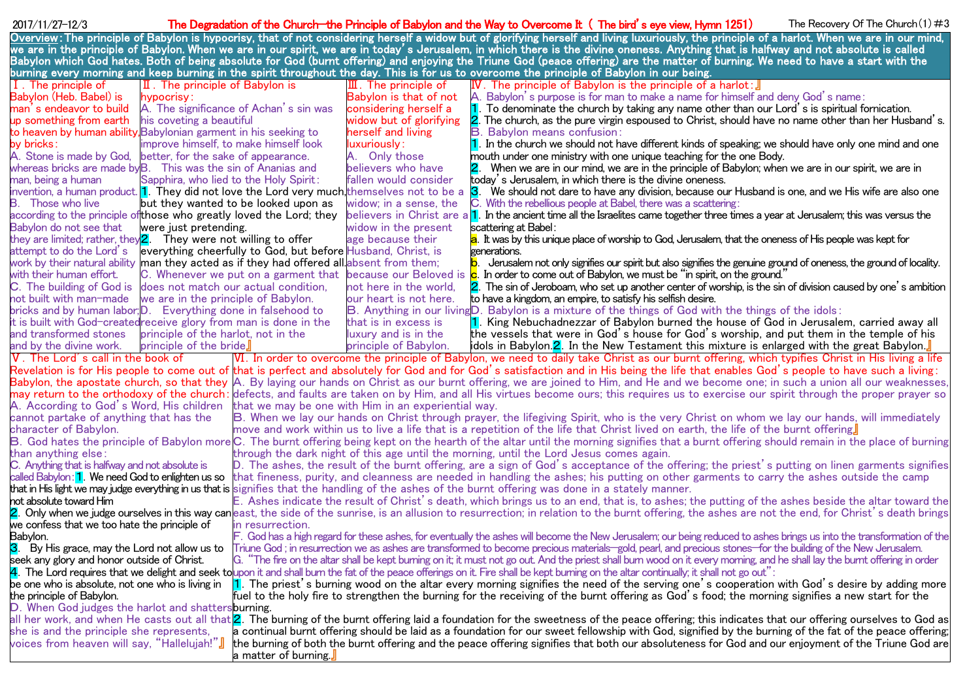2017/11/27–12/3 **The Degradation of the Church—the Principle of Babylon and the Way to Overcome It( The bird's eye view, Hymn 1251) The Recovery Of The Church(1) #3** Overview: The principle of Babylon is hypocrisy, that of not considering herself a widow but of glorifying herself and living luxuriously, the principle of a harlot. When we are in our mind, we are in the principle of Babylon. When we are in our spirit, we are in today's Jerusalem, in which there is the divine oneness. Anything that is halfway and not absolute is called Babylon which God hates. Both of being absolute for God (burnt offering) and enjoying the Triune God (peace offering) are the matter of burning. We need to have a start with the burning every morning and keep burning in the spirit throughout the day. This is for us to overcome the principle of Babylon in our being. Ⅰ.The principle of Babylon (Heb. Babel) is man's endeavor to build up something from earth to heaven by human ability, Babylonian garment in his seeking to by bricks: A.Stone is made by God, whereas bricks are made byB. This was the sin of Ananias and man, being a human invention, a human product.  $\vert$  T. They did not love the Lord very much, themselves not to be a B. Those who live according to the principle of those who greatly loved the Lord; they Babylon do not see that they are limited; rather, they<mark>2</mark>. They were not willing to offer attempt to do the Lord's work by their natural ability with their human effort. C.The building of God is not built with man-made bricks and by human labor; D. Everything done in falsehood to it is built with God-created receive glory from man is done in the and transformed stones and by the divine work.  $\overline{\mathbb{I}}$ . The principle of Babylon is hypocrisy: A.The significance of Achan's sin was his coveting a beautiful improve himself, to make himself look better, for the sake of appearance. Sapphira, who lied to the Holy Spirit: but they wanted to be looked upon as were just pretending. everything cheerfully to God, but before Husband, Christ, is man they acted as if they had offered all absent from them; C.Whenever we put on a garment that does not match our actual condition, we are in the principle of Babylon. principle of the harlot, not in the principle of the bride』  $\mathbb{H}$ . The principle of Babylon is that of not considering herself a widow but of glorifying herself and living luxuriously: A. Only those believers who have fallen would consider widow; in a sense, the believers in Christ are a <mark>1</mark>. In the ancient time all the Israelites came together three times a year at Jerusalem; this was versus the widow in the present age because their because our Beloved is 1<mark>c</mark>. In order to come out of Babylon, we must be "in spirit, on the ground." not here in the world, our heart is not here. B. Anything in our living D. Babylon is a mixture of the things of God with the things of the idols: that is in excess is luxury and is in the principle of Babylon.  $\overline{\mathbf{W}}$  . The principle of Babylon is the principle of a harlot:』 A.Babylon's purpose is for man to make a name for himself and deny God's name:  $\vert \mathbf{1} \vert$ . To denominate the church by taking any name other than our Lord's is spiritual fornication. 2. The church, as the pure virgin espoused to Christ, should have no name other than her Husband's. **B.** Babylon means confusion:  $\vert \mathbf{1} \vert$ . In the church we should not have different kinds of speaking; we should have only one mind and one mouth under one ministry with one unique teaching for the one Body.  $2.$  When we are in our mind, we are in the principle of Babylon; when we are in our spirit, we are in today's Jerusalem, in which there is the divine oneness. 3. We should not dare to have any division, because our Husband is one, and we His wife are also one C.With the rebellious people at Babel, there was a scattering: scattering at Babel: **a.** It was by this unique place of worship to God, Jerusalem, that the oneness of His people was kept for generations. b. Jerusalem not only signifies our spirit but also signifies the genuine ground of oneness, the ground of locality. 2. The sin of Jeroboam, who set up another center of worship, is the sin of division caused by one's ambition to have a kingdom, an empire, to satisfy his selfish desire. 1. King Nebuchadnezzar of Babylon burned the house of God in Jerusalem, carried away all the vessels that were in God's house for God's worship, and put them in the temple of his **lidols in Babylon.2. In the New Testament this mixture is enlarged with the great Babylon.』** Ⅴ.The Lord's call in the book of Revelation is for His people to come out of that is perfect and absolutely for God and for God's satisfaction and in His being the life that enables God's people to have such a living: Babylon, the apostate church, so that they A. By laying our hands on Christ as our burnt offering, we are joined to Him, and He and we become one; in such a union all our weaknesses, may return to the orthodoxy of the church: defects, and faults are taken on by Him, and all His virtues become ours; this requires us to exercise our spirit through the proper prayer so A.According to God's Word, His children cannot partake of anything that has the character of Babylon. B. God hates the principle of Babylon more C. The burnt offering being kept on the hearth of the altar until the morning signifies that a burnt offering should remain in the place of burning than anything else: C.Anything that is halfway and not absolute is called Babylon: <mark>1</mark>. We need God to enlighten us so that in His light we may judge everything in us that is signifies that the handling of the ashes of the burnt offering was done in a stately manner. not absolute toward Him 2. Only when we judge ourselves in this way can east, the side of the sunrise, is an allusion to resurrection; in relation to the burnt offering, the ashes are not the end, for Christ's death brings we confess that we too hate the principle of Babylon. **3**. By His grace, may the Lord not allow us to seek any glory and honor outside of Christ.  $\overline{{\mathsf{4}}}$ . The Lord requires that we delight and seek to upon it and shall burn the fat of the peace offerings on it. Fire shall be kept burning on the altar continually, it shall not go out": be one who is absolute, not one who is living in the principle of Babylon. D. When God judges the harlot and shattersburning. Ⅵ.In order to overcome the principle of Babylon, we need to daily take Christ as our burnt offering, which typifies Christ in His living a life that we may be one with Him in an experiential way. B.When we lay our hands on Christ through prayer, the lifegiving Spirit, who is the very Christ on whom we lay our hands, will immediately move and work within us to live a life that is a repetition of the life that Christ lived on earth, the life of the burnt offering』 through the dark night of this age until the morning, until the Lord Jesus comes again. D.The ashes, the result of the burnt offering, are a sign of God's acceptance of the offering; the priest's putting on linen garments signifies that fineness, purity, and cleanness are needed in handling the ashes; his putting on other garments to carry the ashes outside the camp E.Ashes indicate the result of Christ's death, which brings us to an end, that is, to ashes; the putting of the ashes beside the altar toward the in resurrection. F.God has a high regard for these ashes, for eventually the ashes will become the New Jerusalem; our being reduced to ashes brings us into the transformation of the Triune God ; in resurrection we as ashes are transformed to become precious materials—gold, pearl, and precious stones—for the building of the New Jerusalem. G."The fire on the altar shall be kept burning on it; it must not go out. And the priest shall burn wood on it every morning, and he shall lay the burnt offering in order 1. The priest's burning wood on the altar every morning signifies the need of the serving one's cooperation with God's desire by adding more fuel to the holy fire to strengthen the burning for the receiving of the burnt offering as God's food; the morning signifies a new start for the

she is and the principle she represents,

all her work, and when He casts out all that 2. The burning of the burnt offering laid a foundation for the sweetness of the peace offering; this indicates that our offering ourselves to God as voices from heaven will say, "Hallelujah!"』 a continual burnt offering should be laid as a foundation for our sweet fellowship with God, signified by the burning of the fat of the peace offering; the burning of both the burnt offering and the peace offering signifies that both our absoluteness for God and our enjoyment of the Triune God are a matter of burning.』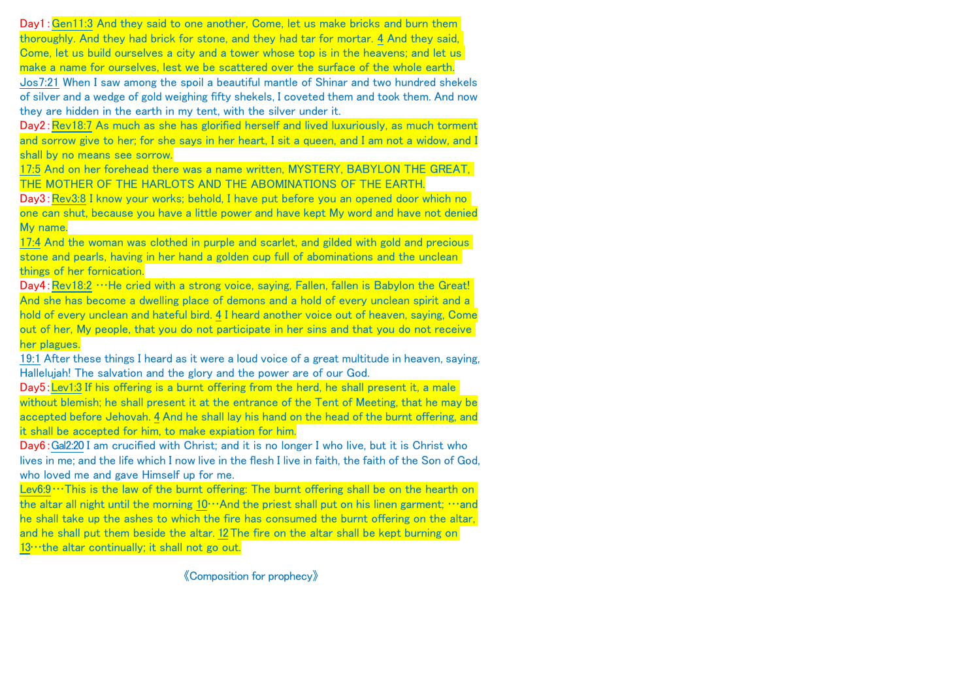Day1:Gen11:3 And they said to one another, Come, let us make bricks and burn them thoroughly. And they had brick for stone, and they had tar for mortar. 4 And they said, Come, let us build ourselves a city and a tower whose top is in the heavens; and let us make a name for ourselves, lest we be scattered over the surface of the whole earth.

Jos7:21 When I saw among the spoil a beautiful mantle of Shinar and two hundred shekels of silver and a wedge of gold weighing fifty shekels, I coveted them and took them. And now they are hidden in the earth in my tent, with the silver under it.

Day2: Rev18:7 As much as she has glorified herself and lived luxuriously, as much torment and sorrow give to her; for she says in her heart, I sit a queen, and I am not a widow, and I shall by no means see sorrow.

17:5 And on her forehead there was a name written, MYSTERY, BABYLON THE GREAT, THE MOTHER OF THE HARLOTS AND THE ABOMINATIONS OF THE EARTH.

Day3:Rev3:8 I know your works; behold, I have put before you an opened door which no one can shut, because you have a little power and have kept My word and have not denied My name.

17:4 And the woman was clothed in purple and scarlet, and gilded with gold and precious stone and pearls, having in her hand a golden cup full of abominations and the unclean things of her fornication.

Day4:  $Rev18:2 \cdots$  He cried with a strong voice, saying, Fallen, fallen is Babylon the Great! And she has become a dwelling place of demons and a hold of every unclean spirit and a hold of every unclean and hateful bird. 4 I heard another voice out of heaven, saying, Come out of her, My people, that you do not participate in her sins and that you do not receive her plagues.

19:1 After these things I heard as it were a loud voice of a great multitude in heaven, saying, Hallelujah! The salvation and the glory and the power are of our God.

Day5: Lev1:3 If his offering is a burnt offering from the herd, he shall present it, a male without blemish; he shall present it at the entrance of the Tent of Meeting, that he may be accepted before Jehovah. 4 And he shall lay his hand on the head of the burnt offering, and it shall be accepted for him, to make expiation for him.

Day6: Gal2:20 I am crucified with Christ: and it is no longer I who live, but it is Christ who lives in me; and the life which I now live in the flesh I live in faith, the faith of the Son of God, who loved me and gave Himself up for me.

 $Lev6:9...$  This is the law of the burnt offering: The burnt offering shall be on the hearth on the altar all night until the morning  $10...$ And the priest shall put on his linen garment;  $...$ and he shall take up the ashes to which the fire has consumed the burnt offering on the altar, and he shall put them beside the altar. 12The fire on the altar shall be kept burning on 13…the altar continually; it shall not go out.

《Composition for prophecy》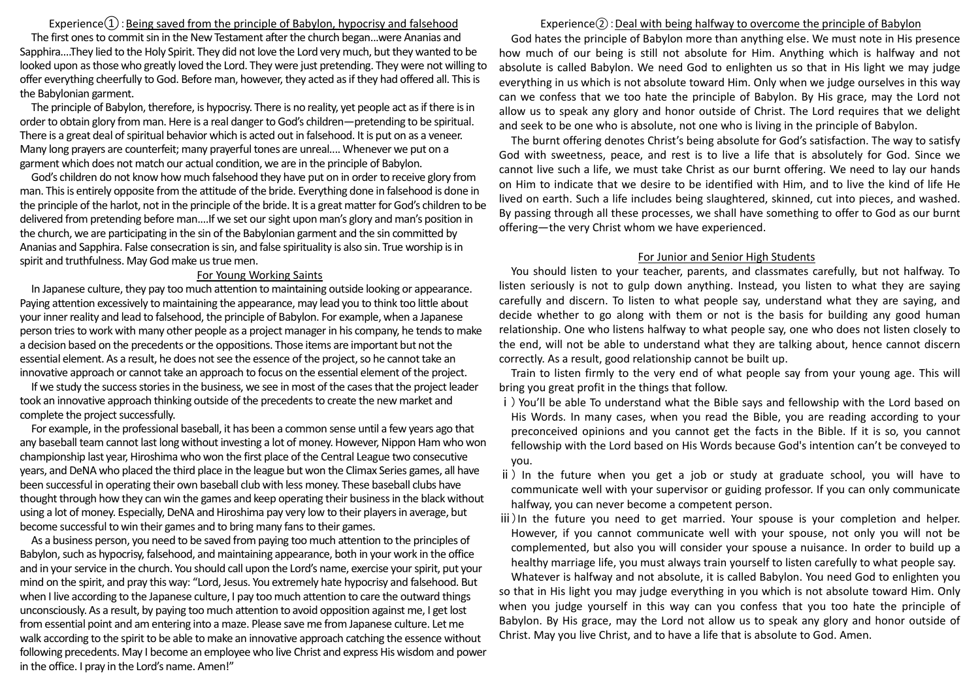Experience $(1)$ : Being saved from the principle of Babylon, hypocrisy and falsehood The first ones to commit sin in the New Testament after the church began...were Ananias and Sapphira....They lied to the Holy Spirit. They did not love the Lord very much, but they wanted to be looked upon as those who greatly loved the Lord. They were just pretending. They were not willing to offer everything cheerfully to God. Before man, however, they acted as if they had offered all. This is the Babylonian garment.

The principle of Babylon, therefore, is hypocrisy. There is no reality, yet people act as if there is in order to obtain glory from man. Here is a real danger to God's children—pretending to be spiritual. There is a great deal of spiritual behavior which is acted out in falsehood. It is put on as a veneer. Many long prayers are counterfeit; many prayerful tones are unreal.... Whenever we put on a garment which does not match our actual condition, we are in the principle of Babylon.

God's children do not know how much falsehood they have put on in order to receive glory from man. This is entirely opposite from the attitude of the bride. Everything done in falsehood is done in the principle of the harlot, not in the principle of the bride. It is a great matter for God's children to be delivered from pretending before man....If we set our sight upon man's glory and man's position in the church, we are participating in the sin of the Babylonian garment and the sin committed by Ananias and Sapphira. False consecration is sin, and false spirituality is also sin. True worship is in spirit and truthfulness. May God make us true men.

## For Young Working Saints

In Japanese culture, they pay too much attention to maintaining outside looking or appearance. Paying attention excessively to maintaining the appearance, may lead you to think too little about your inner reality and lead to falsehood, the principle of Babylon. For example, when a Japanese person tries to work with many other people as a project manager in his company, he tends to make a decision based on the precedents or the oppositions. Those items are important but not the essential element. As a result, he does not see the essence of the project, so he cannot take an innovative approach or cannot take an approach to focus on the essential element of the project.

If we study the success stories in the business, we see in most of the cases that the project leader took an innovative approach thinking outside of the precedents to create the new market and complete the project successfully.

For example, in the professional baseball, it has been a common sense until a few years ago that any baseball team cannot last long without investing a lot of money. However, Nippon Ham who won championship last year, Hiroshima who won the first place of the Central League two consecutive years, and DeNA who placed the third place in the league but won the Climax Series games, all have been successful in operating their own baseball club with less money. These baseball clubs have thought through how they can win the games and keep operating their business in the black without using a lot of money. Especially, DeNA and Hiroshima pay very low to their players in average, but become successful to win their games and to bring many fans to their games.

As a business person, you need to be saved from paying too much attention to the principles of Babylon, such as hypocrisy, falsehood, and maintaining appearance, both in your work in the office and in your service in the church. You should call upon the Lord's name, exercise your spirit, put your mind on the spirit, and pray this way: "Lord, Jesus. You extremely hate hypocrisy and falsehood. But when I live according to the Japanese culture, I pay too much attention to care the outward things unconsciously. As a result, by paying too much attention to avoid opposition against me, I get lost from essential point and am entering into a maze. Please save me from Japanese culture. Let me walk according to the spirit to be able to make an innovative approach catching the essence without following precedents. May I become an employee who live Christ and express His wisdom and power in the office. I pray in the Lord's name. Amen!"

## Experience $(2)$ : Deal with being halfway to overcome the principle of Babylon

God hates the principle of Babylon more than anything else. We must note in His presence how much of our being is still not absolute for Him. Anything which is halfway and not absolute is called Babylon. We need God to enlighten us so that in His light we may judge everything in us which is not absolute toward Him. Only when we judge ourselves in this way can we confess that we too hate the principle of Babylon. By His grace, may the Lord not allow us to speak any glory and honor outside of Christ. The Lord requires that we delight and seek to be one who is absolute, not one who is living in the principle of Babylon.

The burnt offering denotes Christ's being absolute for God's satisfaction. The way to satisfy God with sweetness, peace, and rest is to live a life that is absolutely for God. Since we cannot live such a life, we must take Christ as our burnt offering. We need to lay our hands on Him to indicate that we desire to be identified with Him, and to live the kind of life He lived on earth. Such a life includes being slaughtered, skinned, cut into pieces, and washed. By passing through all these processes, we shall have something to offer to God as our burnt offering—the very Christ whom we have experienced.

## For Junior and Senior High Students

You should listen to your teacher, parents, and classmates carefully, but not halfway. To listen seriously is not to gulp down anything. Instead, you listen to what they are saying carefully and discern. To listen to what people say, understand what they are saying, and decide whether to go along with them or not is the basis for building any good human relationship. One who listens halfway to what people say, one who does not listen closely to the end, will not be able to understand what they are talking about, hence cannot discern correctly. As a result, good relationship cannot be built up.

Train to listen firmly to the very end of what people say from your young age. This will bring you great profit in the things that follow.

- ⅰ) You'll be able To understand what the Bible says and fellowship with the Lord based on His Words. In many cases, when you read the Bible, you are reading according to your preconceived opinions and you cannot get the facts in the Bible. If it is so, you cannot fellowship with the Lord based on His Words because God's intention can't be conveyed to you.
- ⅱ) In the future when you get a job or study at graduate school, you will have to communicate well with your supervisor or guiding professor. If you can only communicate halfway, you can never become a competent person.
- iii)In the future you need to get married. Your spouse is your completion and helper. However, if you cannot communicate well with your spouse, not only you will not be complemented, but also you will consider your spouse a nuisance. In order to build up a healthy marriage life, you must always train yourself to listen carefully to what people say.

Whatever is halfway and not absolute, it is called Babylon. You need God to enlighten you so that in His light you may judge everything in you which is not absolute toward Him. Only when you judge yourself in this way can you confess that you too hate the principle of Babylon. By His grace, may the Lord not allow us to speak any glory and honor outside of Christ. May you live Christ, and to have a life that is absolute to God. Amen.